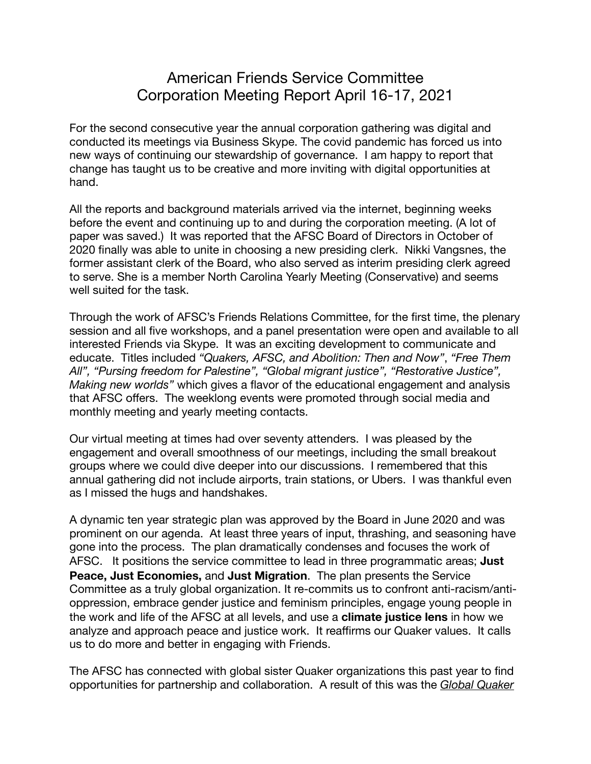## American Friends Service Committee Corporation Meeting Report April 16-17, 2021

For the second consecutive year the annual corporation gathering was digital and conducted its meetings via Business Skype. The covid pandemic has forced us into new ways of continuing our stewardship of governance. I am happy to report that change has taught us to be creative and more inviting with digital opportunities at hand.

All the reports and background materials arrived via the internet, beginning weeks before the event and continuing up to and during the corporation meeting. (A lot of paper was saved.) It was reported that the AFSC Board of Directors in October of 2020 finally was able to unite in choosing a new presiding clerk. Nikki Vangsnes, the former assistant clerk of the Board, who also served as interim presiding clerk agreed to serve. She is a member North Carolina Yearly Meeting (Conservative) and seems well suited for the task.

Through the work of AFSC's Friends Relations Committee, for the first time, the plenary session and all five workshops, and a panel presentation were open and available to all interested Friends via Skype. It was an exciting development to communicate and educate. Titles included *"Quakers, AFSC, and Abolition: Then and Now"*, *"Free Them All", "Pursing freedom for Palestine", "Global migrant justice", "Restorative Justice", Making new worlds"* which gives a flavor of the educational engagement and analysis that AFSC offers. The weeklong events were promoted through social media and monthly meeting and yearly meeting contacts.

Our virtual meeting at times had over seventy attenders. I was pleased by the engagement and overall smoothness of our meetings, including the small breakout groups where we could dive deeper into our discussions. I remembered that this annual gathering did not include airports, train stations, or Ubers. I was thankful even as I missed the hugs and handshakes.

A dynamic ten year strategic plan was approved by the Board in June 2020 and was prominent on our agenda. At least three years of input, thrashing, and seasoning have gone into the process. The plan dramatically condenses and focuses the work of AFSC. It positions the service committee to lead in three programmatic areas; **Just Peace, Just Economies,** and **Just Migration**. The plan presents the Service Committee as a truly global organization. It re-commits us to confront anti-racism/antioppression, embrace gender justice and feminism principles, engage young people in the work and life of the AFSC at all levels, and use a **climate justice lens** in how we analyze and approach peace and justice work. It reaffirms our Quaker values. It calls us to do more and better in engaging with Friends.

The AFSC has connected with global sister Quaker organizations this past year to find opportunities for partnership and collaboration. A result of this was the *Global Quaker*